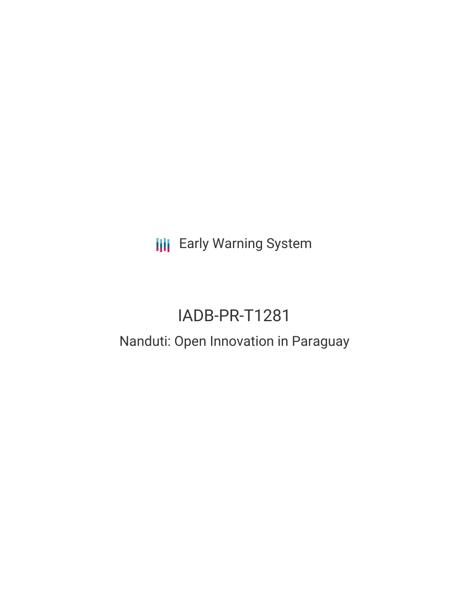**III** Early Warning System

# IADB-PR-T1281

## Nanduti: Open Innovation in Paraguay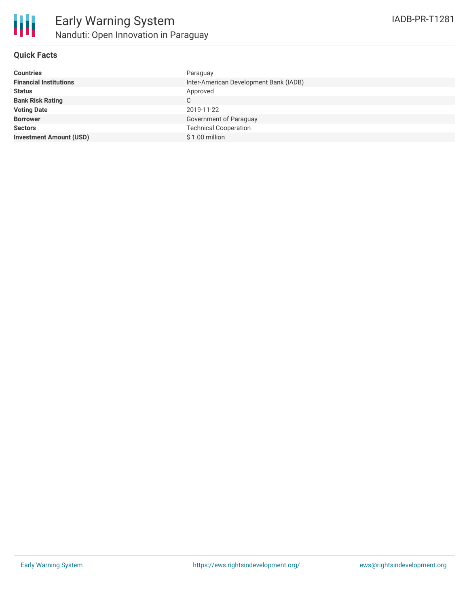

## **Quick Facts**

| <b>Countries</b>               | Paraguay                               |
|--------------------------------|----------------------------------------|
| <b>Financial Institutions</b>  | Inter-American Development Bank (IADB) |
| <b>Status</b>                  | Approved                               |
| <b>Bank Risk Rating</b>        | C                                      |
| <b>Voting Date</b>             | 2019-11-22                             |
| <b>Borrower</b>                | Government of Paraguay                 |
| <b>Sectors</b>                 | <b>Technical Cooperation</b>           |
| <b>Investment Amount (USD)</b> | $$1.00$ million                        |
|                                |                                        |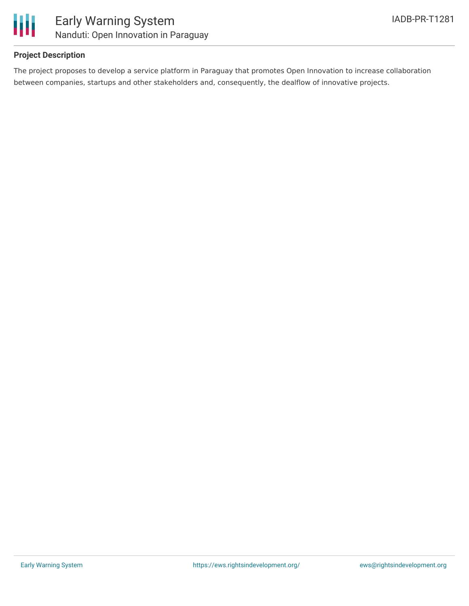

## **Project Description**

The project proposes to develop a service platform in Paraguay that promotes Open Innovation to increase collaboration between companies, startups and other stakeholders and, consequently, the dealflow of innovative projects.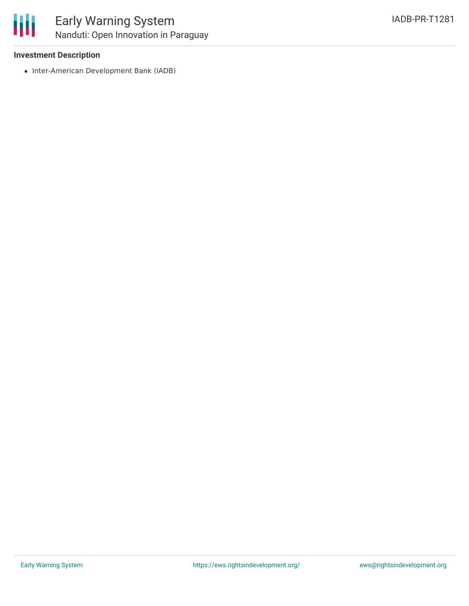

## **Investment Description**

• Inter-American Development Bank (IADB)